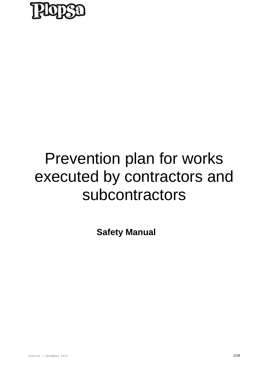

## Prevention plan for works executed by contractors and subcontractors

**Safety Manual**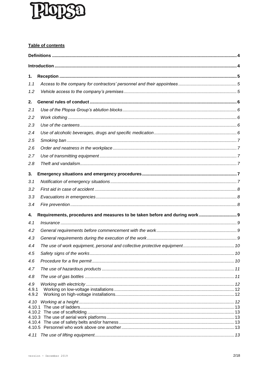# $\mathbf{I}$

### Table of contents

| 1.                    |                                                                            |  |  |
|-----------------------|----------------------------------------------------------------------------|--|--|
| 1.1                   |                                                                            |  |  |
| 1.2                   |                                                                            |  |  |
| 2.                    |                                                                            |  |  |
| 2.1                   |                                                                            |  |  |
| 2.2                   |                                                                            |  |  |
| 2.3                   |                                                                            |  |  |
| 2.4                   |                                                                            |  |  |
| 2.5                   |                                                                            |  |  |
| 2.6                   |                                                                            |  |  |
| 2.7                   |                                                                            |  |  |
| 2.8                   |                                                                            |  |  |
| 3.                    |                                                                            |  |  |
| 3.1                   |                                                                            |  |  |
| 3.2                   |                                                                            |  |  |
| 3.3                   |                                                                            |  |  |
| 3.4                   |                                                                            |  |  |
| 4.                    | Requirements, procedures and measures to be taken before and during work 9 |  |  |
| 4.1                   |                                                                            |  |  |
| 4.2                   |                                                                            |  |  |
| 4.3                   |                                                                            |  |  |
| 4.4                   |                                                                            |  |  |
| 4.5                   |                                                                            |  |  |
| 4.6                   |                                                                            |  |  |
| 4.7                   |                                                                            |  |  |
| 4.8                   |                                                                            |  |  |
| 4.9<br>4.9.1<br>4.9.2 |                                                                            |  |  |
| 4.10                  |                                                                            |  |  |
|                       |                                                                            |  |  |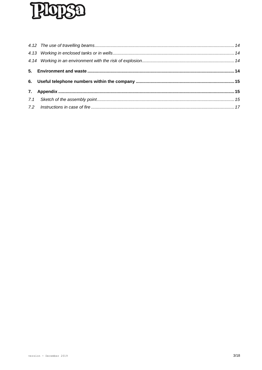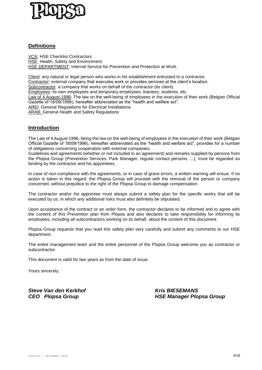

### <span id="page-3-0"></span>**Definitions**

VCA: HSE Checklist Contractors HSE: Health, Safety and Environment HSE DEPARTMENT: Internal Service for Prevention and Protection at Work.

Client: any natural or legal person who works in his establishment entrusted to a contractor. Contractor: external company that executes work or provides services at the client's location. Subcontractor: a company that works on behalf of the contractor (its client). Employees: its own employees and temporary employees, trainees, students, etc. Law of 4 August 1996: The law on the well-being of employees in the execution of their work (Belgian Official Gazette of 18/09/1996), hereafter abbreviated as the "health and welfare act". AREI: General Regulations for Electrical Installations ARAB: General Health and Safety Regulations

### <span id="page-3-1"></span>**Introduction**

The Law of 4 August 1996, being the law on the well-being of employees in the execution of their work (Belgian Official Gazette of 18/09/1996), hereafter abbreviated as the "health and welfare act", provides for a number of obligations concerning cooperation with external companies.

Guidelines and agreements (whether or not included in an agreement) and remarks supplied by persons from the Plopsa Group (Prevention Services, Park Manager, regular contact persons, ...), must be regarded as binding by the contractor and his appointees.

In case of non-compliance with the agreements, or in case of grave errors, a written warning will ensue. If no action is taken in this regard, the Plopsa Group will proceed with the removal of the person or company concerned, without prejudice to the right of the Plopsa Group to damage compensation.

The contractor and/or his appointee must always submit a safety plan for the specific works that will be executed by us, in which any additional risks must also definitely be stipulated.

Upon acceptance of the contract or an order form, the contractor declares to be informed and to agree with the content of this Prevention plan from Plopsa and also declares to take responsibility for informing its employees, including all subcontractors working on its behalf, about the content of this document.

Plopsa Group requests that you read this safety plan very carefully and submit any comments to our HSE department.

The entire management team and the entire personnel of the Plopsa Group welcome you as contractor or subcontractor.

. This document is valid for two years as from the date of issue.

Yours sincerely,

*Steve Van den Kerkhof Kris BIESEMANS*

*CEO Plopsa Group HSE Manager Plopsa Group*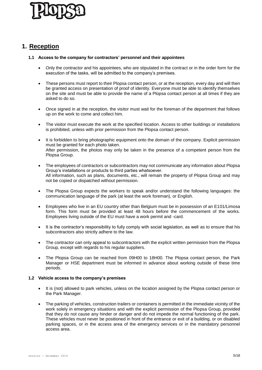

### <span id="page-4-0"></span>**1. Reception**

### <span id="page-4-1"></span>**1.1 Access to the company for contractors' personnel and their appointees**

- Only the contractor and his appointees, who are stipulated in the contract or in the order form for the execution of the tasks, will be admitted to the company's premises.
- These persons must report to their Plopsa contact person, or at the reception, every day and will then be granted access on presentation of proof of identity. Everyone must be able to identify themselves on the site and must be able to provide the name of a Plopsa contact person at all times if they are asked to do so.
- Once signed in at the reception, the visitor must wait for the foreman of the department that follows up on the work to come and collect him.
- The visitor must execute the work at the specified location. Access to other buildings or installations is prohibited, unless with prior permission from the Plopsa contact person.
- It is forbidden to bring photographic equipment onto the domain of the company. Explicit permission must be granted for each photo taken. After permission, the photos may only be taken in the presence of a competent person from the Plopsa Group.
- The employees of contractors or subcontractors may not communicate any information about Plopsa Group's installations or products to third parties whatsoever. All information, such as plans, documents, etc., will remain the property of Plopsa Group and may not be copied or dispatched without permission.
- The Plopsa Group expects the workers to speak and/or understand the following languages: the communication language of the park (at least the work foreman), or English.
- Employees who live in an EU country other than Belgium must be in possession of an E101/Limosa form. This form must be provided at least 48 hours before the commencement of the works. Employees living outside of the EU must have a work permit and -card.
- It is the contractor's responsibility to fully comply with social legislation, as well as to ensure that his subcontractors also strictly adhere to the law.
- The contractor can only appeal to subcontractors with the explicit written permission from the Plopsa Group, except with regards to his regular suppliers.
- The Plopsa Group can be reached from 09H00 to 18H00. The Plopsa contact person, the Park Manager or HSE department must be informed in advance about working outside of these time periods.

### <span id="page-4-2"></span>**1.2 Vehicle access to the company's premises**

- It is (not) allowed to park vehicles, unless on the location assigned by the Plopsa contact person or the Park Manager.
- The parking of vehicles, construction trailers or containers is permitted in the immediate vicinity of the work solely in emergency situations and with the explicit permission of the Plopsa Group, provided that they do not cause any hinder or danger and do not impede the normal functioning of the park. These vehicles must never be positioned in front of the entrance or exit of a building, or on disabled parking spaces, or in the access area of the emergency services or in the mandatory personnel access area.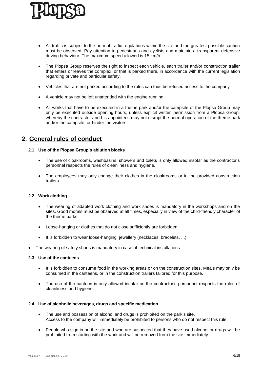

- All traffic is subject to the normal traffic regulations within the site and the greatest possible caution must be observed. Pay attention to pedestrians and cyclists and maintain a transparent defensive driving behaviour. The maximum speed allowed is 15 km/h.
- The Plopsa Group reserves the right to inspect each vehicle, each trailer and/or construction trailer that enters or leaves the complex, or that is parked there, in accordance with the current legislation regarding private and particular safety.
- Vehicles that are not parked according to the rules can thus be refused access to the company.
- A vehicle may not be left unattended with the engine running.
- All works that have to be executed in a theme park and/or the campsite of the Plopsa Group may only be executed outside opening hours, unless explicit written permission from a Plopsa Group, whereby the contractor and his appointees may not disrupt the normal operation of the theme park and/or the campsite, or hinder the visitors.

### <span id="page-5-1"></span><span id="page-5-0"></span>**2. General rules of conduct**

### **2.1 Use of the Plopsa Group's ablution blocks**

- The use of cloakrooms, washbasins, showers and toilets is only allowed insofar as the contractor's personnel respects the rules of cleanliness and hygiene.
- The employees may only change their clothes in the cloakrooms or in the provided construction trailers.

### <span id="page-5-2"></span>**2.2 Work clothing**

- The wearing of adapted work clothing and work shoes is mandatory in the workshops and on the sites. Good morals must be observed at all times, especially in view of the child-friendly character of the theme parks.
- Loose-hanging or clothes that do not close sufficiently are forbidden.
- It is forbidden to wear loose-hanging jewellery (necklaces, bracelets, ...).
- The wearing of safety shoes is mandatory in case of technical installations.

### <span id="page-5-3"></span>**2.3 Use of the canteens**

- It is forbidden to consume food in the working areas or on the construction sites. Meals may only be consumed in the canteens, or in the construction trailers tailored for this purpose.
- The use of the canteen is only allowed insofar as the contractor's personnel respects the rules of cleanliness and hygiene.

### <span id="page-5-4"></span>**2.4 Use of alcoholic beverages, drugs and specific medication**

- The use and possession of alcohol and drugs is prohibited on the park's site. Access to the company will immediately be prohibited to persons who do not respect this rule.
- People who sign in on the site and who are suspected that they have used alcohol or drugs will be prohibited from starting with the work and will be removed from the site immediately.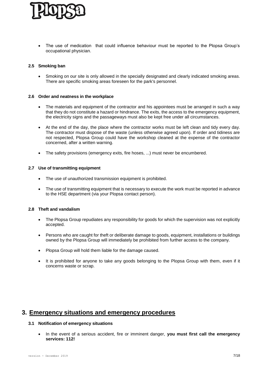

 The use of medication that could influence behaviour must be reported to the Plopsa Group's occupational physician.

### <span id="page-6-0"></span>**2.5 Smoking ban**

 Smoking on our site is only allowed in the specially designated and clearly indicated smoking areas. There are specific smoking areas foreseen for the park's personnel.

### <span id="page-6-1"></span>**2.6 Order and neatness in the workplace**

- The materials and equipment of the contractor and his appointees must be arranged in such a way that they do not constitute a hazard or hindrance. The exits, the access to the emergency equipment, the electricity signs and the passageways must also be kept free under all circumstances.
- At the end of the day, the place where the contractor works must be left clean and tidy every day. The contractor must dispose of the waste (unless otherwise agreed upon). If order and tidiness are not respected, Plopsa Group could have the workshop cleaned at the expense of the contractor concerned, after a written warning.
- The safety provisions (emergency exits, fire hoses, ...) must never be encumbered.

### <span id="page-6-2"></span>**2.7 Use of transmitting equipment**

- The use of unauthorized transmission equipment is prohibited.
- The use of transmitting equipment that is necessary to execute the work must be reported in advance to the HSE department (via your Plopsa contact person).

### <span id="page-6-3"></span>**2.8 Theft and vandalism**

- The Plopsa Group repudiates any responsibility for goods for which the supervision was not explicitly accepted.
- Persons who are caught for theft or deliberate damage to goods, equipment, installations or buildings owned by the Plopsa Group will immediately be prohibited from further access to the company.
- Plopsa Group will hold them liable for the damage caused.
- It is prohibited for anyone to take any goods belonging to the Plopsa Group with them, even if it concerns waste or scrap.

### <span id="page-6-5"></span><span id="page-6-4"></span>**3. Emergency situations and emergency procedures**

### **3.1 Notification of emergency situations**

• In the event of a serious accident, fire or imminent danger, **you must first call the emergency services: 112!**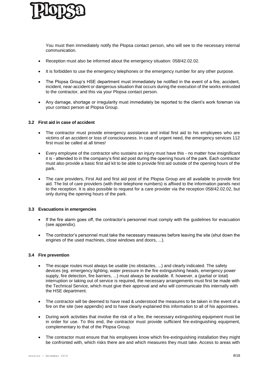

You must then immediately notify the Plopsa contact person, who will see to the necessary internal communication.

- Reception must also be informed about the emergency situation: 058/42.02.02.
- It is forbidden to use the emergency telephones or the emergency number for any other purpose.
- The Plopsa Group's HSE department must immediately be notified in the event of a fire, accident, incident, near-accident or dangerous situation that occurs during the execution of the works entrusted to the contractor, and this via your Plopsa contact person.
- Any damage, shortage or irregularity must immediately be reported to the client's work foreman via your contact person at Plopsa Group.

### <span id="page-7-0"></span>**3.2 First aid in case of accident**

- The contractor must provide emergency assistance and initial first aid to his employees who are victims of an accident or loss of consciousness. In case of urgent need, the emergency services 112 first must be called at all times!
- Every employee of the contractor who sustains an injury must have this no matter how insignificant it is - attended to in the company's first aid post during the opening hours of the park. Each contractor must also provide a basic first aid kit to be able to provide first aid outside of the opening hours of the park.
- The care providers, First Aid and first aid post of the Plopsa Group are all available to provide first aid. The list of care providers (with their telephone numbers) is affixed to the information panels next to the reception. It is also possible to request for a care provider via the reception 058/42.02.02, but only during the opening hours of the park.

### <span id="page-7-1"></span>**3.3 Evacuations in emergencies**

- If the fire alarm goes off, the contractor's personnel must comply with the quidelines for evacuation (see appendix).
- The contractor's personnel must take the necessary measures before leaving the site (shut down the engines of the used machines, close windows and doors, ...).

### <span id="page-7-2"></span>**3.4 Fire prevention**

- The escape routes must always be usable (no obstacles, ...) and clearly indicated. The safety devices (eg. emergency lighting, water pressure in the fire extinguishing heads, emergency power supply, fire detection, fire barriers, ...) must always be available. If, however, a (partial or total) interruption or taking out of service is required, the necessary arrangements must first be made with the Technical Service, which must give their approval and who will communicate this internally with the HSE department.
- The contractor will be deemed to have read & understood the measures to be taken in the event of a fire on the site (see appendix) and to have clearly explained this information to all of his appointees.
- During work activities that involve the risk of a fire, the necessary extinguishing equipment must be in order for use. To this end, the contractor must provide sufficient fire-extinguishing equipment, complementary to that of the Plopsa Group.
- The contractor must ensure that his employees know which fire-extinguishing installation they might be confronted with, which risks there are and which measures they must take. Access to areas with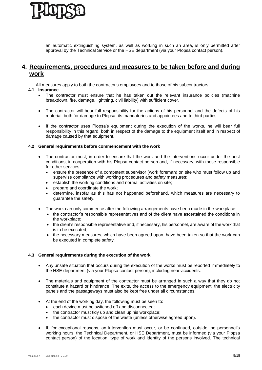

an automatic extinguishing system, as well as working in such an area, is only permitted after approval by the Technical Service or the HSE department (via your Plopsa contact person).

### <span id="page-8-0"></span>**4. Requirements, procedures and measures to be taken before and during work**

All measures apply to both the contractor's employees and to those of his subcontractors

### <span id="page-8-1"></span>**4.1 Insurance**

- The contractor must ensure that he has taken out the relevant insurance policies (machine breakdown, fire, damage, lightning, civil liability) with sufficient cover.
- The contractor will bear full responsibility for the actions of his personnel and the defects of his material, both for damage to Plopsa, its mandatories and appointees and to third parties.
- If the contractor uses Plopsa's equipment during the execution of the works, he will bear full responsibility in this regard, both in respect of the damage to the equipment itself and in respect of damage caused by that equipment.

### <span id="page-8-2"></span>**4.2 General requirements before commencement with the work**

- The contractor must, in order to ensure that the work and the interventions occur under the best conditions, in cooperation with his Plopsa contact person and, if necessary, with those responsible for other services:
	- ensure the presence of a competent supervisor (work foreman) on site who must follow up and supervise compliance with working procedures and safety measures;
	- establish the working conditions and normal activities on site;
	- prepare and coordinate the work;
	- determine, insofar as this has not happened beforehand, which measures are necessary to guarantee the safety.
- The work can only commence after the following arrangements have been made in the workplace:
	- the contractor's responsible representatives and of the client have ascertained the conditions in the workplace;
	- the client's responsible representative and, if necessary, his personnel, are aware of the work that is to be executed;
	- the necessary measures, which have been agreed upon, have been taken so that the work can be executed in complete safety.

### <span id="page-8-3"></span>**4.3 General requirements during the execution of the work**

- Any unsafe situation that occurs during the execution of the works must be reported immediately to the HSE department (via your Plopsa contact person), including near-accidents.
- The materials and equipment of the contractor must be arranged in such a way that they do not constitute a hazard or hindrance. The exits, the access to the emergency equipment, the electricity panels and the passageways must also be kept free under all circumstances.
- At the end of the working day, the following must be seen to:
	- each device must be switched off and disconnected;
	- the contractor must tidy up and clean up his workplace;
	- the contractor must dispose of the waste (unless otherwise agreed upon).
- If, for exceptional reasons, an intervention must occur, or be continued, outside the personnel's working hours, the Technical Department, or HSE Department, must be informed (via your Plopsa contact person) of the location, type of work and identity of the persons involved. The technical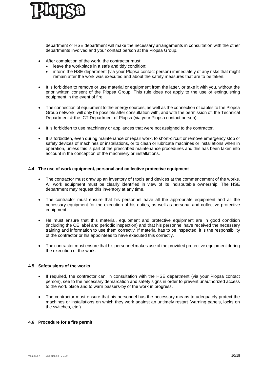

department or HSE department will make the necessary arrangements in consultation with the other departments involved and your contact person at the Plopsa Group.

- After completion of the work, the contractor must:
	- leave the workplace in a safe and tidy condition;
	- inform the HSE department (via your Plopsa contact person) immediately of any risks that might remain after the work was executed and about the safety measures that are to be taken.
- It is forbidden to remove or use material or equipment from the latter, or take it with you, without the prior written consent of the Plopsa Group. This rule does not apply to the use of extinguishing equipment in the event of fire.
- The connection of equipment to the energy sources, as well as the connection of cables to the Plopsa Group network, will only be possible after consultation with, and with the permission of, the Technical Department & the ICT Department of Plopsa (via your Plopsa contact person).
- It is forbidden to use machinery or appliances that were not assigned to the contractor.
- It is forbidden, even during maintenance or repair work, to short-circuit or remove emergency stop or safety devices of machines or installations, or to clean or lubricate machines or installations when in operation, unless this is part of the prescribed maintenance procedures and this has been taken into account in the conception of the machinery or installations.

### <span id="page-9-0"></span>**4.4 The use of work equipment, personal and collective protective equipment**

- The contractor must draw up an inventory of t tools and devices at the commencement of the works. All work equipment must be clearly identified in view of its indisputable ownership. The HSE department may request this inventory at any time.
- The contractor must ensure that his personnel have all the appropriate equipment and all the necessary equipment for the execution of his duties, as well as personal and collective protective equipment.
- He must ensure that this material, equipment and protective equipment are in good condition (including the CE label and periodic inspection) and that his personnel have received the necessary training and information to use them correctly. If material has to be inspected, it is the responsibility of the contractor or his appointees to have executed this correctly.
- The contractor must ensure that his personnel makes use of the provided protective equipment during the execution of the work.

### <span id="page-9-1"></span>**4.5 Safety signs of the works**

- If required, the contractor can, in consultation with the HSE department (via your Plopsa contact person), see to the necessary demarcation and safety signs in order to prevent unauthorized access to the work place and to warn passers-by of the work in progress.
- The contractor must ensure that his personnel has the necessary means to adequately protect the machines or installations on which they work against an untimely restart (warning panels, locks on the switches, etc.).

### <span id="page-9-2"></span>**4.6 Procedure for a fire permit**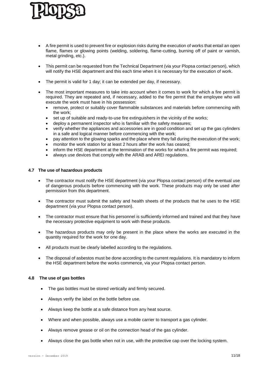- A fire permit is used to prevent fire or explosion risks during the execution of works that entail an open flame, flames or glowing points (welding, soldering, flame-cutting, burning off of paint or varnish, metal grinding, etc.).
- This permit can be requested from the Technical Department (via your Plopsa contact person), which will notify the HSE department and this each time when it is necessary for the execution of work.
- The permit is valid for 1 day; it can be extended per day, if necessary.
- The most important measures to take into account when it comes to work for which a fire permit is required. They are repeated and, if necessary, added to the fire permit that the employee who will execute the work must have in his possession:
	- remove, protect or suitably cover flammable substances and materials before commencing with the work;
	- set up of suitable and ready-to-use fire extinguishers in the vicinity of the works;
	- deploy a permanent inspector who is familiar with the safety measures;
	- verify whether the appliances and accessories are in good condition and set up the gas cylinders in a safe and logical manner before commencing with the work;
	- pay attention to the glowing sparks and the place where they fall during the execution of the work;
	- monitor the work station for at least 2 hours after the work has ceased;
	- inform the HSE department at the termination of the works for which a fire permit was required;
	- always use devices that comply with the ARAB and AREI regulations.

### <span id="page-10-0"></span>**4.7 The use of hazardous products**

- The contractor must notify the HSE department (via your Plopsa contact person) of the eventual use of dangerous products before commencing with the work. These products may only be used after permission from this department.
- The contractor must submit the safety and health sheets of the products that he uses to the HSE department (via your Plopsa contact person).
- The contractor must ensure that his personnel is sufficiently informed and trained and that they have the necessary protective equipment to work with these products.
- The hazardous products may only be present in the place where the works are executed in the quantity required for the work for one day.
- All products must be clearly labelled according to the regulations.
- The disposal of asbestos must be done according to the current regulations. It is mandatory to inform the HSE department before the works commence, via your Plopsa contact person.

### <span id="page-10-1"></span>**4.8 The use of gas bottles**

- The gas bottles must be stored vertically and firmly secured.
- Always verify the label on the bottle before use.
- Always keep the bottle at a safe distance from any heat source.
- Where and when possible, always use a mobile carrier to transport a gas cylinder.
- Always remove grease or oil on the connection head of the gas cylinder.
- Always close the gas bottle when not in use, with the protective cap over the locking system.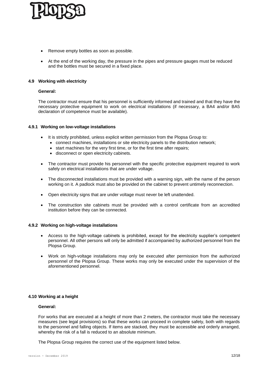

- Remove empty bottles as soon as possible.
- At the end of the working day, the pressure in the pipes and pressure gauges must be reduced and the bottles must be secured in a fixed place.

### <span id="page-11-0"></span>**4.9 Working with electricity**

### **General:**

The contractor must ensure that his personnel is sufficiently informed and trained and that they have the necessary protective equipment to work on electrical installations (if necessary, a BA4 and/or BA5 declaration of competence must be available).

### <span id="page-11-1"></span>**4.9.1 Working on low-voltage installations**

- It is strictly prohibited, unless explicit written permission from the Plopsa Group to:
	- connect machines, installations or site electricity panels to the distribution network;
	- start machines for the very first time, or for the first time after repairs;
	- disconnect or open electricity cabinets.
- The contractor must provide his personnel with the specific protective equipment required to work safely on electrical installations that are under voltage.
- The disconnected installations must be provided with a warning sign, with the name of the person working on it. A padlock must also be provided on the cabinet to prevent untimely reconnection.
- Open electricity signs that are under voltage must never be left unattended.
- The construction site cabinets must be provided with a control certificate from an accredited institution before they can be connected.

### <span id="page-11-2"></span>**4.9.2 Working on high-voltage installations**

- Access to the high-voltage cabinets is prohibited, except for the electricity supplier's competent personnel. All other persons will only be admitted if accompanied by authorized personnel from the Plopsa Group.
- Work on high-voltage installations may only be executed after permission from the authorized personnel of the Plopsa Group. These works may only be executed under the supervision of the aforementioned personnel.

### <span id="page-11-3"></span>**4.10 Working at a height**

### **General:**

For works that are executed at a height of more than 2 meters, the contractor must take the necessary measures (see legal provisions) so that these works can proceed in complete safety, both with regards to the personnel and falling objects. If items are stacked, they must be accessible and orderly arranged, whereby the risk of a fall is reduced to an absolute minimum.

The Plopsa Group requires the correct use of the equipment listed below.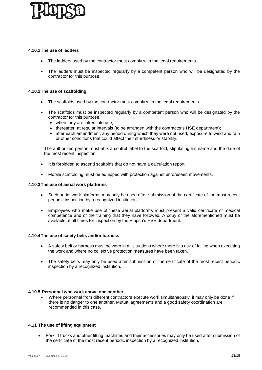

### <span id="page-12-0"></span>**4.10.1The use of ladders**

- The ladders used by the contractor must comply with the legal requirements.
- The ladders must be inspected regularly by a competent person who will be designated by the contractor for this purpose.

### <span id="page-12-1"></span>**4.10.2The use of scaffolding**

- The scaffolds used by the contractor must comply with the legal requirements.
- The scaffolds must be inspected regularly by a competent person who will be designated by the contractor for this purpose.
	- when they are taken into use;
	- thereafter, at regular intervals (to be arranged with the contractor's HSE department);
	- after each amendment, any period during which they were not used, exposure to wind and rain or other conditions that could affect their sturdiness or stability.

The authorized person must affix a control label to the scaffold, stipulating his name and the date of the most recent inspection.

- It is forbidden to ascend scaffolds that do not have a calculation report.
- Mobile scaffolding must be equipped with protection against unforeseen movements.

### <span id="page-12-2"></span>**4.10.3The use of aerial work platforms**

- Such aerial work platforms may only be used after submission of the certificate of the most recent periodic inspection by a recognized institution.
- Employees who make use of these aerial platforms must present a valid certificate of medical competence and of the training that they have followed. A copy of the aforementioned must be available at all times for inspection by the Plopsa's HSE department.

### <span id="page-12-3"></span>**4.10.4The use of safety belts and/or harness**

- A safety belt or harness must be worn in all situations where there is a risk of falling when executing the work and where no collective protection measures have been taken.
- The safety belts may only be used after submission of the certificate of the most recent periodic inspection by a recognized institution.

### **4.10.5 Personnel who work above one another**

<span id="page-12-4"></span> Where personnel from different contractors execute work simultaneously, it may only be done if there is no danger to one another. Mutual agreements and a good safety coordination are recommended in this case.

### <span id="page-12-5"></span>**4.11 The use of lifting equipment**

 Forklift trucks and other lifting machines and their accessories may only be used after submission of the certificate of the most recent periodic inspection by a recognized institution.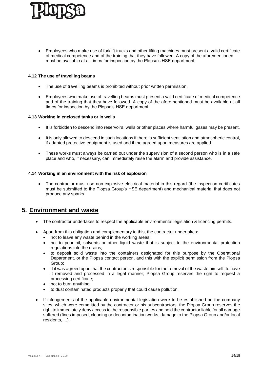

 Employees who make use of forklift trucks and other lifting machines must present a valid certificate of medical competence and of the training that they have followed. A copy of the aforementioned must be available at all times for inspection by the Plopsa's HSE department.

### <span id="page-13-0"></span>**4.12 The use of travelling beams**

- The use of travelling beams is prohibited without prior written permission.
- Employees who make use of travelling beams must present a valid certificate of medical competence and of the training that they have followed. A copy of the aforementioned must be available at all times for inspection by the Plopsa's HSE department.

### <span id="page-13-1"></span>**4.13 Working in enclosed tanks or in wells**

- It is forbidden to descend into reservoirs, wells or other places where harmful gases may be present.
- It is only allowed to descend in such locations if there is sufficient ventilation and atmospheric control, if adapted protective equipment is used and if the agreed upon measures are applied.
- These works must always be carried out under the supervision of a second person who is in a safe place and who, if necessary, can immediately raise the alarm and provide assistance.

### <span id="page-13-2"></span>**4.14 Working in an environment with the risk of explosion**

 The contractor must use non-explosive electrical material in this regard (the inspection certificates must be submitted to the Plopsa Group's HSE department) and mechanical material that does not produce any sparks.

### <span id="page-13-3"></span>**5. Environment and waste**

- The contractor undertakes to respect the applicable environmental legislation & licencing permits.
- Apart from this obligation and complementary to this, the contractor undertakes:
	- not to leave any waste behind in the working areas;
	- not to pour oil, solvents or other liquid waste that is subject to the environmental protection regulations into the drains;
	- to deposit solid waste into the containers designated for this purpose by the Operational Department, or the Plopsa contact person, and this with the explicit permission from the Plopsa Group;
	- if it was agreed upon that the contractor is responsible for the removal of the waste himself, to have it removed and processed in a legal manner; Plopsa Group reserves the right to request a processing certificate;
	- not to burn anything;
	- to dust contaminated products properly that could cause pollution.
- If infringements of the applicable environmental legislation were to be established on the company sites, which were committed by the contractor or his subcontractors, the Plopsa Group reserves the right to immediately deny access to the responsible parties and hold the contractor liable for all damage suffered (fines imposed, cleaning or decontamination works, damage to the Plopsa Group and/or local residents, ...).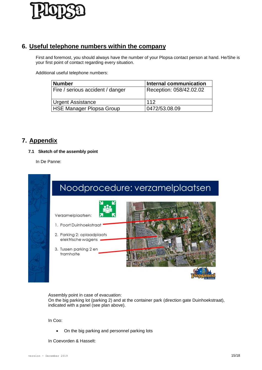

### <span id="page-14-0"></span>**6. Useful telephone numbers within the company**

First and foremost, you should always have the number of your Plopsa contact person at hand. He/She is your first point of contact regarding every situation.

Additional useful telephone numbers:

| <b>Number</b>                    | Internal communication  |
|----------------------------------|-------------------------|
| Fire / serious accident / danger | Reception: 058/42.02.02 |
| <b>Urgent Assistance</b>         | 112                     |
| HSE Manager Plopsa Group         | 0472/53.08.09           |

### <span id="page-14-2"></span><span id="page-14-1"></span>**7. Appendix**

### **7.1 Sketch of the assembly point**

In De Panne:



Assembly point in case of evacuation:

On the big parking lot (parking 2) and at the container park (direction gate Duinhoekstraat), indicated with a panel (see plan above).

In Coo:

• On the big parking and personnel parking lots

In Coevorden & Hasselt: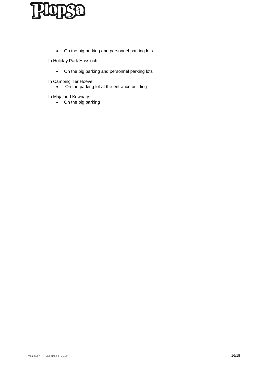On the big parking and personnel parking lots

In Holiday Park Hassloch:

On the big parking and personnel parking lots

In Camping Ter Hoeve:

• On the parking lot at the entrance building

In Majaland Kownaty:

• On the big parking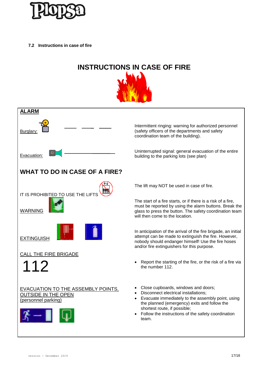

<span id="page-16-0"></span>**7.2 Instructions in case of fire**

# **INSTRUCTIONS IN CASE OF FIRE**